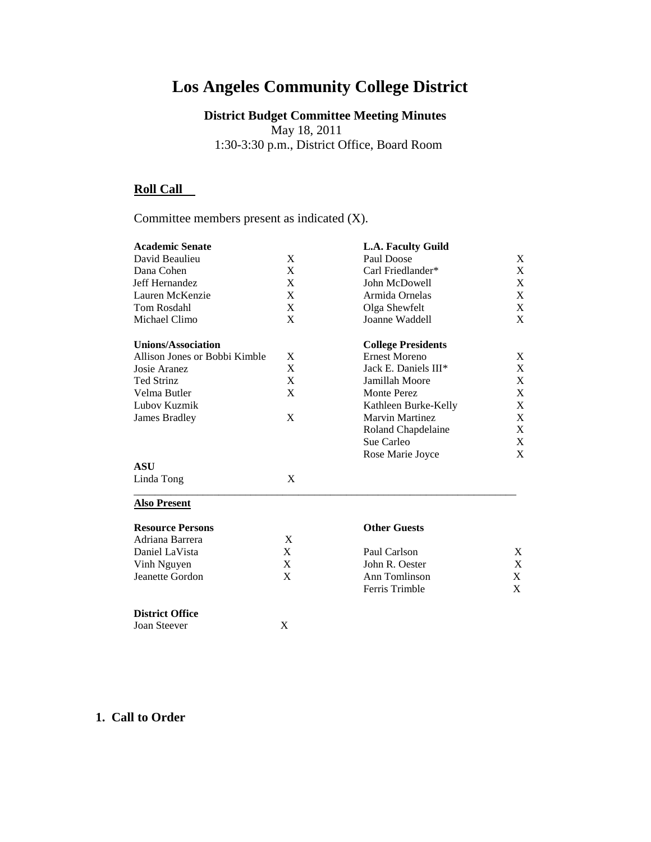# **Los Angeles Community College District**

**District Budget Committee Meeting Minutes** May 18, 2011 1:30-3:30 p.m., District Office, Board Room

# **Roll Call**

Committee members present as indicated (X).

| <b>Academic Senate</b>        |             | L.A. Faculty Guild        |                           |
|-------------------------------|-------------|---------------------------|---------------------------|
| David Beaulieu                | X           | Paul Doose                | X                         |
| Dana Cohen                    | X           | Carl Friedlander*         | $\mathbf X$               |
| Jeff Hernandez                | X           | John McDowell             | $\mathbf X$               |
| Lauren McKenzie               | $\mathbf X$ | Armida Ornelas            | $\mathbf X$               |
| Tom Rosdahl                   | X           | Olga Shewfelt             | $\boldsymbol{\mathrm{X}}$ |
| Michael Climo                 | X           | Joanne Waddell            | $\mathbf{X}$              |
| <b>Unions/Association</b>     |             | <b>College Presidents</b> |                           |
| Allison Jones or Bobbi Kimble | X           | <b>Ernest Moreno</b>      | X                         |
| Josie Aranez                  | X           | Jack E. Daniels III*      | $\mathbf X$               |
| <b>Ted Strinz</b>             | $\mathbf X$ | Jamillah Moore            | X                         |
| Velma Butler                  | X           | Monte Perez               | $\mathbf X$               |
| Lubov Kuzmik                  |             | Kathleen Burke-Kelly      | $\mathbf X$               |
| James Bradley                 | X           | <b>Marvin Martinez</b>    | X                         |
|                               |             | Roland Chapdelaine        | X                         |
|                               |             | Sue Carleo                | $\mathbf X$               |
|                               |             | Rose Marie Joyce          | $\mathbf{X}$              |
| <b>ASU</b>                    |             |                           |                           |
| Linda Tong                    | X           |                           |                           |
| <b>Also Present</b>           |             |                           |                           |
| <b>Resource Persons</b>       |             | <b>Other Guests</b>       |                           |
| Adriana Barrera               | X           |                           |                           |
| Daniel LaVista                | X           | Paul Carlson              | X                         |
| Vinh Nguyen                   | X           | John R. Oester            | X                         |
| Jeanette Gordon               | X           | Ann Tomlinson             | X                         |
|                               |             | Ferris Trimble            | X                         |
| <b>District Office</b>        |             |                           |                           |
|                               |             |                           |                           |

#### **1. Call to Order**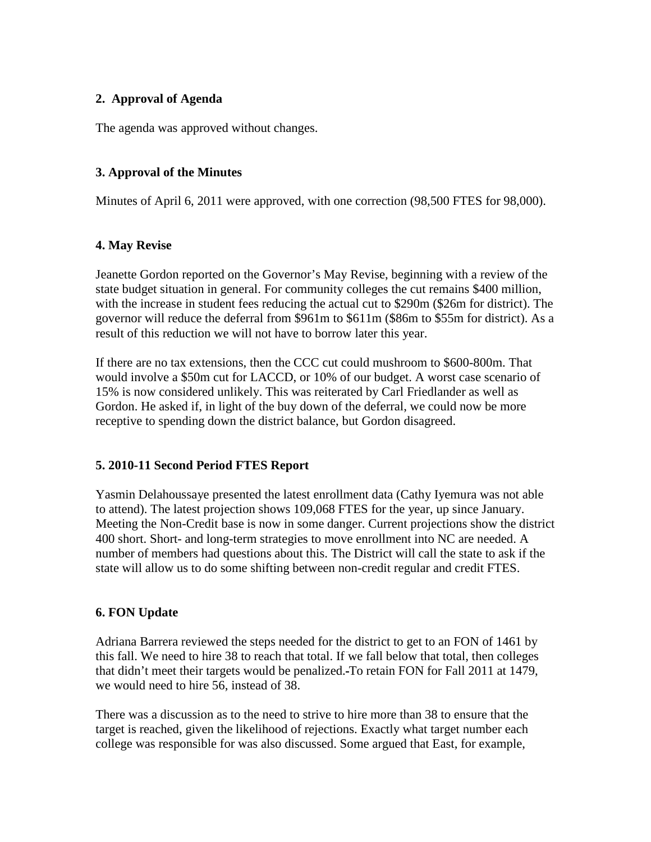#### **2. Approval of Agenda**

The agenda was approved without changes.

## **3. Approval of the Minutes**

Minutes of April 6, 2011 were approved, with one correction (98,500 FTES for 98,000).

#### **4. May Revise**

Jeanette Gordon reported on the Governor's May Revise, beginning with a review of the state budget situation in general. For community colleges the cut remains \$400 million, with the increase in student fees reducing the actual cut to \$290m (\$26m for district). The governor will reduce the deferral from \$961m to \$611m (\$86m to \$55m for district). As a result of this reduction we will not have to borrow later this year.

If there are no tax extensions, then the CCC cut could mushroom to \$600-800m. That would involve a \$50m cut for LACCD, or 10% of our budget. A worst case scenario of 15% is now considered unlikely. This was reiterated by Carl Friedlander as well as Gordon. He asked if, in light of the buy down of the deferral, we could now be more receptive to spending down the district balance, but Gordon disagreed.

#### **5. 2010-11 Second Period FTES Report**

Yasmin Delahoussaye presented the latest enrollment data (Cathy Iyemura was not able to attend). The latest projection shows 109,068 FTES for the year, up since January. Meeting the Non-Credit base is now in some danger. Current projections show the district 400 short. Short- and long-term strategies to move enrollment into NC are needed. A number of members had questions about this. The District will call the state to ask if the state will allow us to do some shifting between non-credit regular and credit FTES.

#### **6. FON Update**

Adriana Barrera reviewed the steps needed for the district to get to an FON of 1461 by this fall. We need to hire 38 to reach that total. If we fall below that total, then colleges that didn't meet their targets would be penalized. To retain FON for Fall 2011 at 1479, we would need to hire 56, instead of 38.

There was a discussion as to the need to strive to hire more than 38 to ensure that the target is reached, given the likelihood of rejections. Exactly what target number each college was responsible for was also discussed. Some argued that East, for example,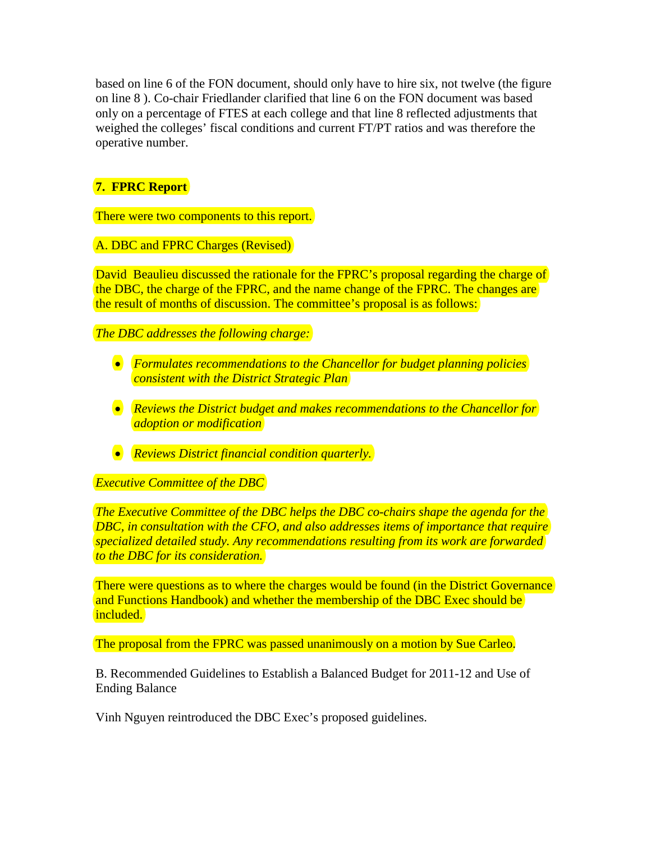based on line 6 of the FON document, should only have to hire six, not twelve (the figure on line 8 ). Co-chair Friedlander clarified that line 6 on the FON document was based only on a percentage of FTES at each college and that line 8 reflected adjustments that weighed the colleges' fiscal conditions and current FT/PT ratios and was therefore the operative number.

# **7. FPRC Report**

There were two components to this report.

A. DBC and FPRC Charges (Revised)

David Beaulieu discussed the rationale for the FPRC's proposal regarding the charge of the DBC, the charge of the FPRC, and the name change of the FPRC. The changes are the result of months of discussion. The committee's proposal is as follows:

*The DBC addresses the following charge:*

- *Formulates recommendations to the Chancellor for budget planning policies consistent with the District Strategic Plan*
- *Reviews the District budget and makes recommendations to the Chancellor for adoption or modification*
- *Reviews District financial condition quarterly.*

*Executive Committee of the DBC*

*The Executive Committee of the DBC helps the DBC co-chairs shape the agenda for the DBC, in consultation with the CFO, and also addresses items of importance that require specialized detailed study. Any recommendations resulting from its work are forwarded to the DBC for its consideration.*

There were questions as to where the charges would be found (in the District Governance and Functions Handbook) and whether the membership of the DBC Exec should be included.

The proposal from the FPRC was passed unanimously on a motion by Sue Carleo.

B. Recommended Guidelines to Establish a Balanced Budget for 2011-12 and Use of Ending Balance

Vinh Nguyen reintroduced the DBC Exec's proposed guidelines.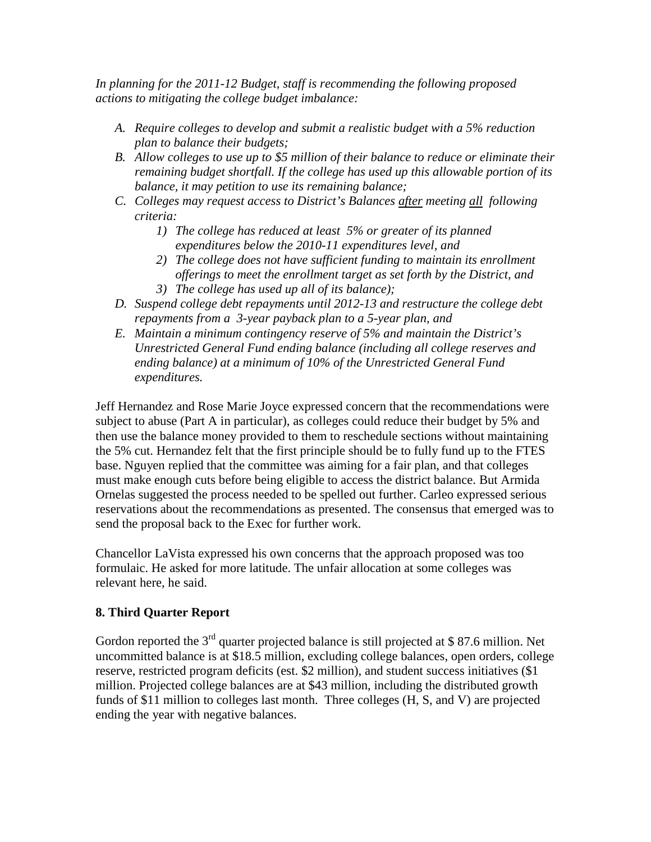*In planning for the 2011-12 Budget, staff is recommending the following proposed actions to mitigating the college budget imbalance:* 

- *A. Require colleges to develop and submit a realistic budget with a 5% reduction plan to balance their budgets;*
- *B. Allow colleges to use up to \$5 million of their balance to reduce or eliminate their remaining budget shortfall. If the college has used up this allowable portion of its balance, it may petition to use its remaining balance;*
- *C. Colleges may request access to District's Balances after meeting all following criteria:*
	- *1) The college has reduced at least 5% or greater of its planned expenditures below the 2010-11 expenditures level, and*
	- *2) The college does not have sufficient funding to maintain its enrollment offerings to meet the enrollment target as set forth by the District, and*
	- *3) The college has used up all of its balance);*
- *D. Suspend college debt repayments until 2012-13 and restructure the college debt repayments from a 3-year payback plan to a 5-year plan, and*
- *E. Maintain a minimum contingency reserve of 5% and maintain the District's Unrestricted General Fund ending balance (including all college reserves and ending balance) at a minimum of 10% of the Unrestricted General Fund expenditures.*

Jeff Hernandez and Rose Marie Joyce expressed concern that the recommendations were subject to abuse (Part A in particular), as colleges could reduce their budget by 5% and then use the balance money provided to them to reschedule sections without maintaining the 5% cut. Hernandez felt that the first principle should be to fully fund up to the FTES base. Nguyen replied that the committee was aiming for a fair plan, and that colleges must make enough cuts before being eligible to access the district balance. But Armida Ornelas suggested the process needed to be spelled out further. Carleo expressed serious reservations about the recommendations as presented. The consensus that emerged was to send the proposal back to the Exec for further work.

Chancellor LaVista expressed his own concerns that the approach proposed was too formulaic. He asked for more latitude. The unfair allocation at some colleges was relevant here, he said.

#### **8. Third Quarter Report**

Gordon reported the  $3<sup>rd</sup>$  quarter projected balance is still projected at \$87.6 million. Net uncommitted balance is at \$18.5 million, excluding college balances, open orders, college reserve, restricted program deficits (est. \$2 million), and student success initiatives (\$1 million. Projected college balances are at \$43 million, including the distributed growth funds of \$11 million to colleges last month. Three colleges (H, S, and V) are projected ending the year with negative balances.